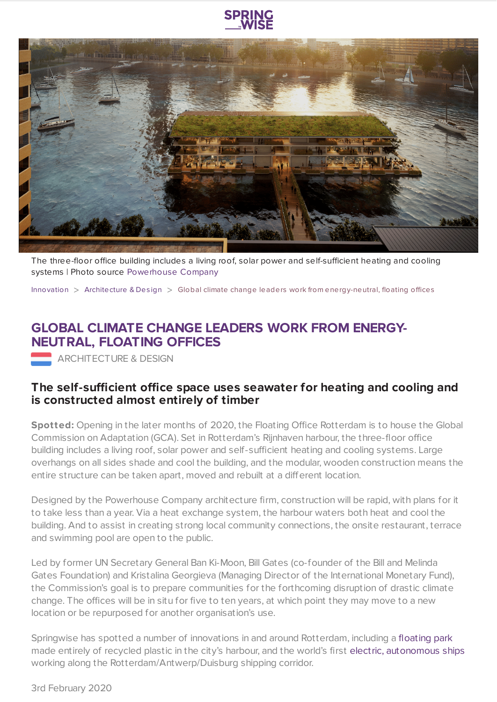

The three-floor office building includes a living roof, solar power and self-sufficient heating and cooling systems | Photo source [Powerhouse](https://www.springwise.com/sustainability-innovation/architecture-design/powerhouse-company.com) Company

[Innovation](https://www.springwise.com/search?type=innovation) > [Architecture](https://www.springwise.com/search?type=innovation§or=architecture-design) & Des ign > Global climate change leaders work from energy-neutral, floating offices

## **GLOBAL CLIMATE CHANGE LEADERS WORK FROM ENERGY-NEUTRAL, FLOATING OFFICES**

**ARCHITECTURE & DESIGN** 

## **The self-sufficient office space uses seawater for heating and cooling and is constructed almost entirely of timber**

**Spotted:** Opening in the later months of 2020, the Floating Office Rotterdam is to house the Global Commission on Adaptation (GCA). Set in Rotterdam's Rijnhaven harbour, the three-floor office building includes a living roof, solar power and self-sufficient heating and cooling systems. Large overhangs on all sides shade and cool the building, and the modular, wooden construction means the entire structure can be taken apart, moved and rebuilt at a different location.

Designed by the Powerhouse Company architecture firm, construction will be rapid, with plans for it to take less than a year. Via a heat exchange system, the harbour waters both heat and cool the building. And to assist in creating strong local community connections, the onsite restaurant, terrace and swimming pool are open to the public.

Led by former UN Secretary General Ban Ki-Moon, Bill Gates (co-founder of the Bill and Melinda Gates Foundation) and Kristalina Georgieva (Managing Director of the International Monetary Fund), the Commission's goal is to prepare communities for the forthcoming disruption of drastic climate change. The offices will be in situ for five to ten years, at which point they may move to a new location or be repurposed for another organisation's use.

Springwise has spotted a number of innovations in and around Rotterdam, including a [floating](https://www.springwise.com/floating-park-is-made-entirely-from-recycled-plastic/) park made entirely of recycled plastic in the city's harbour, and the world's first electric, [autonomous](https://www.springwise.com/worlds-first-electric-autonomous-ships/) ships working along the Rotterdam/Antwerp/Duisburg shipping corridor.